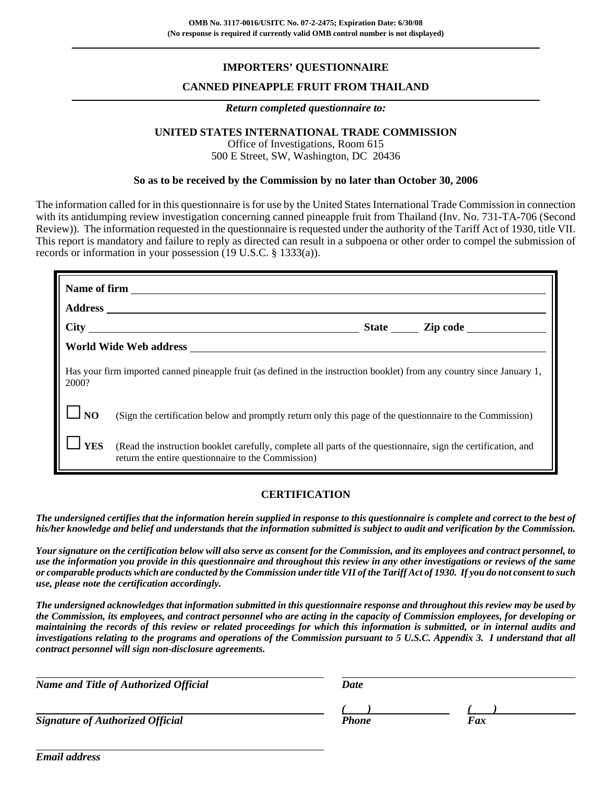# **IMPORTERS' QUESTIONNAIRE**

## **CANNED PINEAPPLE FRUIT FROM THAILAND**

#### *Return completed questionnaire to:*

## **UNITED STATES INTERNATIONAL TRADE COMMISSION**

Office of Investigations, Room 615 500 E Street, SW, Washington, DC 20436

### **So as to be received by the Commission by no later than October 30, 2006**

The information called for in this questionnaire is for use by the United States International Trade Commission in connection with its antidumping review investigation concerning canned pineapple fruit from Thailand (Inv. No. 731-TA-706 (Second Review)). The information requested in the questionnaire is requested under the authority of the Tariff Act of 1930, title VII. This report is mandatory and failure to reply as directed can result in a subpoena or other order to compel the submission of records or information in your possession (19 U.S.C. § 1333(a)).

| Has your firm imported canned pineapple fruit (as defined in the instruction booklet) from any country since January 1,<br>2000? |                                                                                                                                                                     |  |  |  |  |
|----------------------------------------------------------------------------------------------------------------------------------|---------------------------------------------------------------------------------------------------------------------------------------------------------------------|--|--|--|--|
| <b>NO</b>                                                                                                                        | (Sign the certification below and promptly return only this page of the questionnaire to the Commission)                                                            |  |  |  |  |
| <b>YES</b>                                                                                                                       | (Read the instruction booklet carefully, complete all parts of the questionnaire, sign the certification, and<br>return the entire questionnaire to the Commission) |  |  |  |  |

## **CERTIFICATION**

*The undersigned certifies that the information herein supplied in response to this questionnaire is complete and correct to the best of his/her knowledge and belief and understands that the information submitted is subject to audit and verification by the Commission.*

*Your signature on the certification below will also serve as consent for the Commission, and its employees and contract personnel, to use the information you provide in this questionnaire and throughout this review in any other investigations or reviews of the same or comparable products which are conducted by the Commission under title VII of the Tariff Act of 1930. If you do not consent to such use, please note the certification accordingly.*

*The undersigned acknowledges that information submitted in this questionnaire response and throughout this review may be used by the Commission, its employees, and contract personnel who are acting in the capacity of Commission employees, for developing or maintaining the records of this review or related proceedings for which this information is submitted, or in internal audits and investigations relating to the programs and operations of the Commission pursuant to 5 U.S.C. Appendix 3. I understand that all contract personnel will sign non-disclosure agreements.*

| <b>Name and Title of Authorized Official</b> | Date  |     |  |
|----------------------------------------------|-------|-----|--|
|                                              |       |     |  |
| <b>Signature of Authorized Official</b>      | Phone | Fax |  |

*Email address*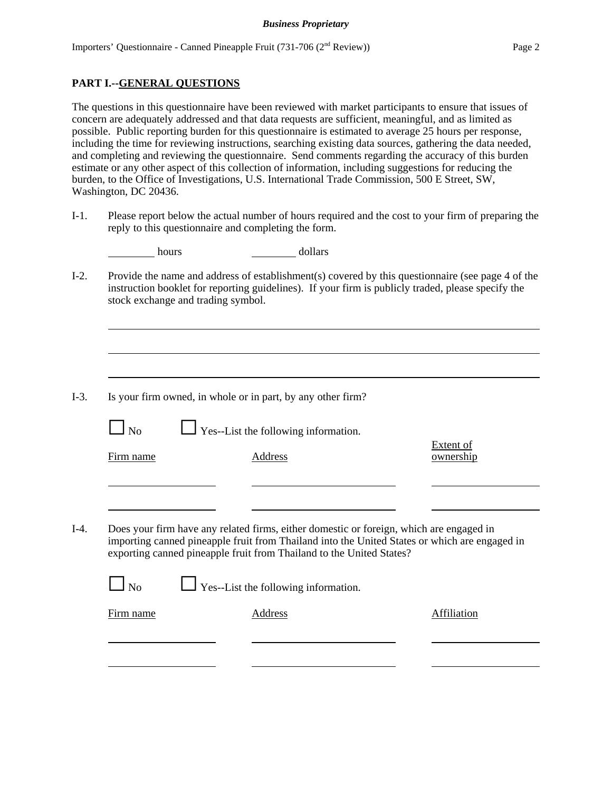### **PART I.--GENERAL QUESTIONS**

The questions in this questionnaire have been reviewed with market participants to ensure that issues of concern are adequately addressed and that data requests are sufficient, meaningful, and as limited as possible. Public reporting burden for this questionnaire is estimated to average 25 hours per response, including the time for reviewing instructions, searching existing data sources, gathering the data needed, and completing and reviewing the questionnaire. Send comments regarding the accuracy of this burden estimate or any other aspect of this collection of information, including suggestions for reducing the burden, to the Office of Investigations, U.S. International Trade Commission, 500 E Street, SW, Washington, DC 20436.

I-1. Please report below the actual number of hours required and the cost to your firm of preparing the reply to this questionnaire and completing the form.

|                |                                    | dollars                                                                                                                                                                                                                                                          |                               |
|----------------|------------------------------------|------------------------------------------------------------------------------------------------------------------------------------------------------------------------------------------------------------------------------------------------------------------|-------------------------------|
|                | stock exchange and trading symbol. | Provide the name and address of establishment(s) covered by this questionnaire (see page 4 of the<br>instruction booklet for reporting guidelines). If your firm is publicly traded, please specify the                                                          |                               |
|                |                                    |                                                                                                                                                                                                                                                                  |                               |
|                |                                    | Is your firm owned, in whole or in part, by any other firm?                                                                                                                                                                                                      |                               |
| $\Box$ No      |                                    | $\Box$ Yes--List the following information.                                                                                                                                                                                                                      |                               |
| Firm name      |                                    | Address                                                                                                                                                                                                                                                          | <b>Extent of</b><br>ownership |
|                |                                    |                                                                                                                                                                                                                                                                  |                               |
|                |                                    |                                                                                                                                                                                                                                                                  |                               |
|                |                                    |                                                                                                                                                                                                                                                                  |                               |
|                |                                    | Does your firm have any related firms, either domestic or foreign, which are engaged in<br>importing canned pineapple fruit from Thailand into the United States or which are engaged in<br>exporting canned pineapple fruit from Thailand to the United States? |                               |
| N <sub>0</sub> |                                    | $\Box$ Yes--List the following information.                                                                                                                                                                                                                      |                               |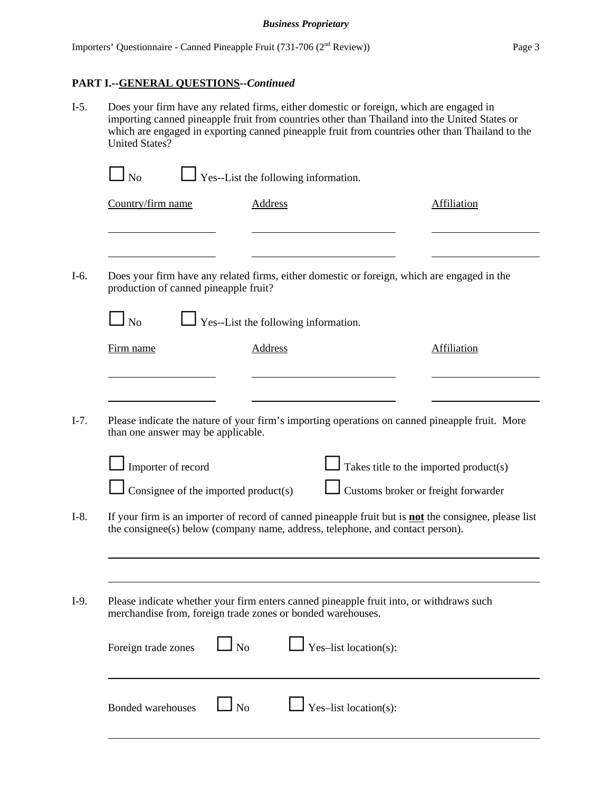# **PART I.--GENERAL QUESTIONS--***Continued*

I-5. Does your firm have any related firms, either domestic or foreign, which are engaged in importing canned pineapple fruit from countries other than Thailand into the United States or which are engaged in exporting canned pineapple fruit from countries other than Thailand to the United States?

|        | N <sub>o</sub>                        |                             | Yes--List the following information.                                                                                                                                                           |                                        |
|--------|---------------------------------------|-----------------------------|------------------------------------------------------------------------------------------------------------------------------------------------------------------------------------------------|----------------------------------------|
|        | Country/firm name                     | <b>Address</b>              |                                                                                                                                                                                                | <b>Affiliation</b>                     |
|        |                                       |                             |                                                                                                                                                                                                |                                        |
| $I-6.$ | production of canned pineapple fruit? |                             | Does your firm have any related firms, either domestic or foreign, which are engaged in the                                                                                                    |                                        |
|        | $\Box$ No                             |                             | Yes--List the following information.                                                                                                                                                           |                                        |
|        | Firm name                             | <b>Address</b>              |                                                                                                                                                                                                | Affiliation                            |
|        |                                       |                             |                                                                                                                                                                                                |                                        |
| $I-7.$ | than one answer may be applicable.    |                             | Please indicate the nature of your firm's importing operations on canned pineapple fruit. More                                                                                                 |                                        |
|        | Importer of record                    |                             |                                                                                                                                                                                                | Takes title to the imported product(s) |
|        | Consignee of the imported product(s)  |                             |                                                                                                                                                                                                | Customs broker or freight forwarder    |
| $I-8.$ |                                       |                             | If your firm is an importer of record of canned pineapple fruit but is <b>not</b> the consignee, please list<br>the consignee(s) below (company name, address, telephone, and contact person). |                                        |
|        |                                       |                             |                                                                                                                                                                                                |                                        |
| $I-9.$ |                                       |                             | Please indicate whether your firm enters canned pineapple fruit into, or withdraws such<br>merchandise from, foreign trade zones or bonded warehouses.                                         |                                        |
|        | Foreign trade zones                   | $\overline{\phantom{a}}$ No | Yes-list location(s):                                                                                                                                                                          |                                        |
|        | <b>Bonded warehouses</b>              | N <sub>o</sub>              | Yes-list location(s):                                                                                                                                                                          |                                        |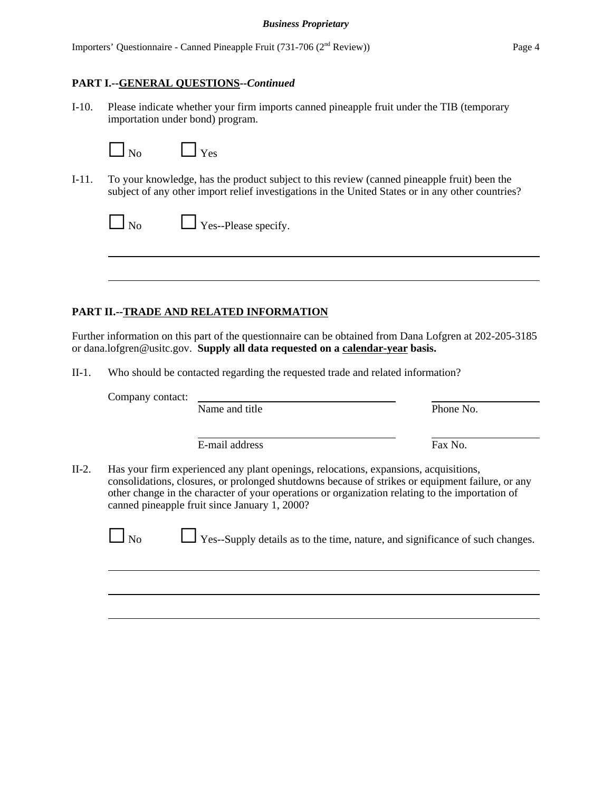Importers' Questionnaire - Canned Pineapple Fruit (731-706 (2nd Review)) Page 4

### **PART I.--GENERAL QUESTIONS--***Continued*

I-10. Please indicate whether your firm imports canned pineapple fruit under the TIB (temporary importation under bond) program.

 $\Box$  Yes

I-11. To your knowledge, has the product subject to this review (canned pineapple fruit) been the subject of any other import relief investigations in the United States or in any other countries?

| $\square$ No | $\Box$ Yes--Please specify. |
|--------------|-----------------------------|
|--------------|-----------------------------|

## **PART II.--TRADE AND RELATED INFORMATION**

Further information on this part of the questionnaire can be obtained from Dana Lofgren at 202-205-3185 or dana.lofgren@usitc.gov. **Supply all data requested on a calendar-year basis.**

II-1. Who should be contacted regarding the requested trade and related information?

Company contact:

Name and title Phone No.

E-mail address Fax No.

II-2. Has your firm experienced any plant openings, relocations, expansions, acquisitions, consolidations, closures, or prolonged shutdowns because of strikes or equipment failure, or any other change in the character of your operations or organization relating to the importation of canned pineapple fruit since January 1, 2000?

 $\Box$  Yes--Supply details as to the time, nature, and significance of such changes.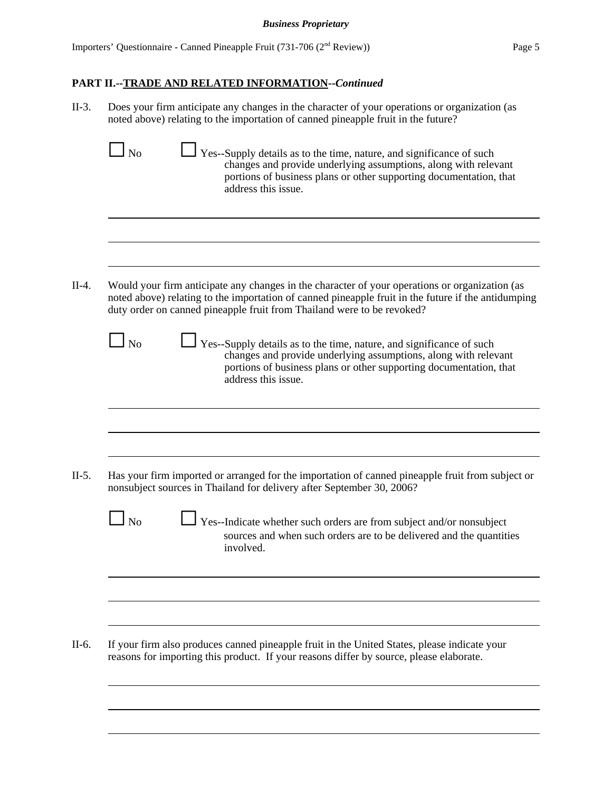II-3. Does your firm anticipate any changes in the character of your operations or organization (as noted above) relating to the importation of canned pineapple fruit in the future?

|           | Yes--Supply details as to the time, nature, and significance of such<br>changes and provide underlying assumptions, along with relevant<br>portions of business plans or other supporting documentation, that<br>address this issue.                                            |
|-----------|---------------------------------------------------------------------------------------------------------------------------------------------------------------------------------------------------------------------------------------------------------------------------------|
|           |                                                                                                                                                                                                                                                                                 |
|           | Would your firm anticipate any changes in the character of your operations or organization (as<br>noted above) relating to the importation of canned pineapple fruit in the future if the antidumping<br>duty order on canned pineapple fruit from Thailand were to be revoked? |
| l No      | Yes--Supply details as to the time, nature, and significance of such<br>changes and provide underlying assumptions, along with relevant<br>portions of business plans or other supporting documentation, that<br>address this issue.                                            |
|           |                                                                                                                                                                                                                                                                                 |
|           |                                                                                                                                                                                                                                                                                 |
|           | Has your firm imported or arranged for the importation of canned pineapple fruit from subject or                                                                                                                                                                                |
|           | nonsubject sources in Thailand for delivery after September 30, 2006?                                                                                                                                                                                                           |
| $\Box$ No | Yes--Indicate whether such orders are from subject and/or nonsubject<br>sources and when such orders are to be delivered and the quantities<br>involved.                                                                                                                        |
|           |                                                                                                                                                                                                                                                                                 |
|           |                                                                                                                                                                                                                                                                                 |
|           | If your firm also produces canned pineapple fruit in the United States, please indicate your<br>reasons for importing this product. If your reasons differ by source, please elaborate.                                                                                         |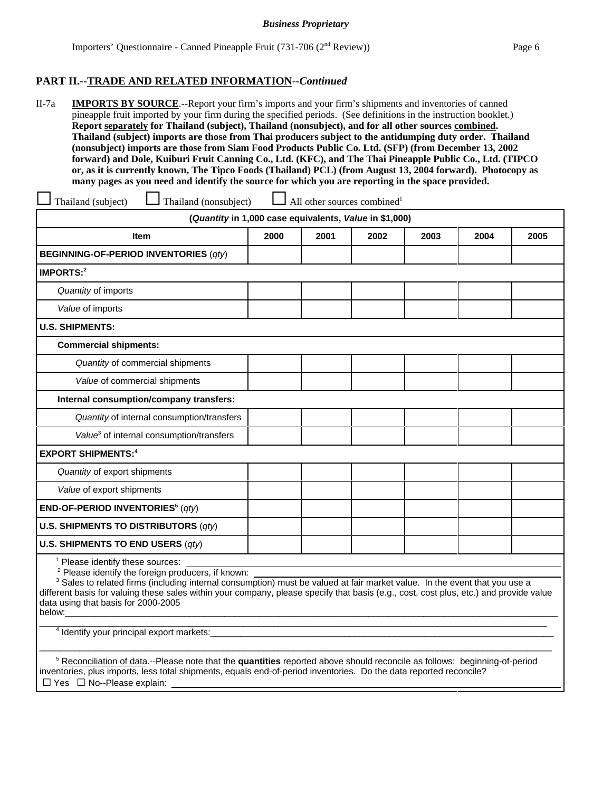II-7a **IMPORTS BY SOURCE**.--Report your firm's imports and your firm's shipments and inventories of canned pineapple fruit imported by your firm during the specified periods. (See definitions in the instruction booklet.) **Report separately for Thailand (subject), Thailand (nonsubject), and for all other sources combined. Thailand (subject) imports are those from Thai producers subject to the antidumping duty order. Thailand (nonsubject) imports are those from Siam Food Products Public Co. Ltd. (SFP) (from December 13, 2002 forward) and Dole, Kuiburi Fruit Canning Co., Ltd. (KFC), and The Thai Pineapple Public Co., Ltd. (TIPCO or, as it is currently known, The Tipco Foods (Thailand) PCL) (from August 13, 2004 forward). Photocopy as many pages as you need and identify the source for which you are reporting in the space provided.**

| Thailand (subject)<br>Thailand (nonsubject)                                                                                                                                                                                                                                                                                                                                        |      |      | All other sources combined <sup>1</sup> |      |      |      |
|------------------------------------------------------------------------------------------------------------------------------------------------------------------------------------------------------------------------------------------------------------------------------------------------------------------------------------------------------------------------------------|------|------|-----------------------------------------|------|------|------|
| (Quantity in 1,000 case equivalents, Value in \$1,000)                                                                                                                                                                                                                                                                                                                             |      |      |                                         |      |      |      |
| <b>Item</b>                                                                                                                                                                                                                                                                                                                                                                        | 2000 | 2001 | 2002                                    | 2003 | 2004 | 2005 |
| <b>BEGINNING-OF-PERIOD INVENTORIES (qty)</b>                                                                                                                                                                                                                                                                                                                                       |      |      |                                         |      |      |      |
| <b>IMPORTS:2</b>                                                                                                                                                                                                                                                                                                                                                                   |      |      |                                         |      |      |      |
| Quantity of imports                                                                                                                                                                                                                                                                                                                                                                |      |      |                                         |      |      |      |
| Value of imports                                                                                                                                                                                                                                                                                                                                                                   |      |      |                                         |      |      |      |
| <b>U.S. SHIPMENTS:</b>                                                                                                                                                                                                                                                                                                                                                             |      |      |                                         |      |      |      |
| <b>Commercial shipments:</b>                                                                                                                                                                                                                                                                                                                                                       |      |      |                                         |      |      |      |
| Quantity of commercial shipments                                                                                                                                                                                                                                                                                                                                                   |      |      |                                         |      |      |      |
| Value of commercial shipments                                                                                                                                                                                                                                                                                                                                                      |      |      |                                         |      |      |      |
| Internal consumption/company transfers:                                                                                                                                                                                                                                                                                                                                            |      |      |                                         |      |      |      |
| Quantity of internal consumption/transfers                                                                                                                                                                                                                                                                                                                                         |      |      |                                         |      |      |      |
| Value <sup>3</sup> of internal consumption/transfers                                                                                                                                                                                                                                                                                                                               |      |      |                                         |      |      |      |
| <b>EXPORT SHIPMENTS:4</b>                                                                                                                                                                                                                                                                                                                                                          |      |      |                                         |      |      |      |
| Quantity of export shipments                                                                                                                                                                                                                                                                                                                                                       |      |      |                                         |      |      |      |
| Value of export shipments                                                                                                                                                                                                                                                                                                                                                          |      |      |                                         |      |      |      |
| <b>END-OF-PERIOD INVENTORIES</b> <sup>5</sup> ( $qt$ )                                                                                                                                                                                                                                                                                                                             |      |      |                                         |      |      |      |
| U.S. SHIPMENTS TO DISTRIBUTORS $(qty)$                                                                                                                                                                                                                                                                                                                                             |      |      |                                         |      |      |      |
| U.S. SHIPMENTS TO END USERS $(qty)$                                                                                                                                                                                                                                                                                                                                                |      |      |                                         |      |      |      |
| Please identify these sources:<br><sup>2</sup> Please identify the foreign producers, if known:<br><sup>3</sup> Sales to related firms (including internal consumption) must be valued at fair market value. In the event that you use a<br>different basis for valuing these sales within your company, please specify that basis (e.g., cost, cost plus, etc.) and provide value |      |      |                                         |      |      |      |

data using that basis for 2000-2005 below:\_\_\_\_\_\_\_\_\_\_\_\_\_\_\_\_\_\_\_\_\_\_\_\_\_\_\_\_\_\_\_\_\_\_\_\_\_\_\_\_\_\_\_\_\_\_\_\_\_\_\_\_\_\_\_\_\_\_\_\_\_\_\_\_\_\_\_\_\_\_\_\_\_\_\_\_\_\_\_\_\_\_\_\_\_\_\_\_\_\_\_\_\_\_\_\_\_\_\_

\_\_\_\_\_\_\_\_\_\_\_\_\_\_\_\_\_\_\_\_\_\_\_\_\_\_\_\_\_\_\_\_\_\_\_\_\_\_\_\_\_\_\_\_\_\_\_\_\_\_\_\_\_\_\_\_\_\_\_\_\_\_\_\_\_\_\_\_\_\_\_\_\_\_\_\_\_\_\_\_\_\_\_\_\_\_\_\_\_\_\_\_\_\_\_\_\_\_\_\_\_\_

<sup>4</sup> Identify your principal export markets:

 5 Reconciliation of data.--Please note that the **quantities** reported above should reconcile as follows: beginning-of-period inventories, plus imports, less total shipments, equals end-of-period inventories. Do the data reported reconcile?  $\Box$  Yes  $\Box$  No--Please explain:

\_\_\_\_\_\_\_\_\_\_\_\_\_\_\_\_\_\_\_\_\_\_\_\_\_\_\_\_\_\_\_\_\_\_\_\_\_\_\_\_\_\_\_\_\_\_\_\_\_\_\_\_\_\_\_\_\_\_\_\_\_\_\_\_\_\_\_\_\_\_\_\_\_\_\_\_\_\_\_\_\_\_\_\_\_\_\_\_\_\_\_\_\_\_\_\_\_\_\_\_\_\_\_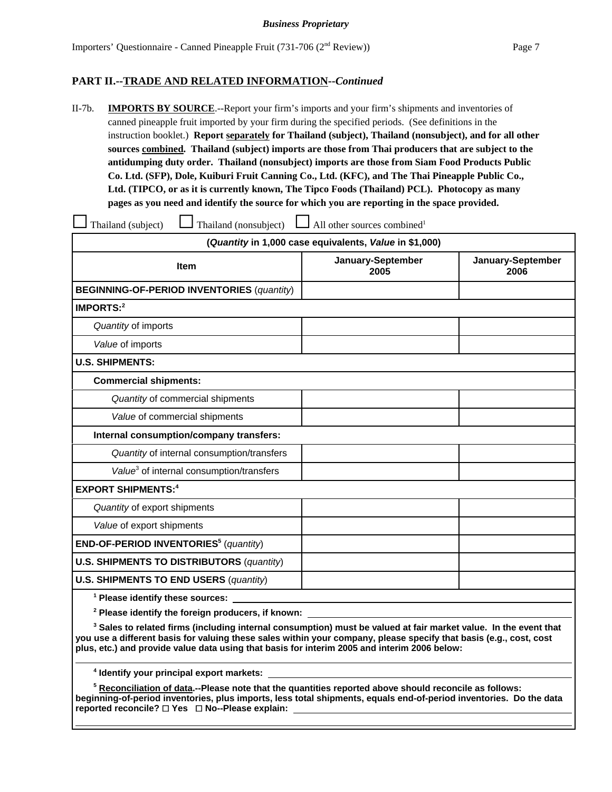II-7b. **IMPORTS BY SOURCE**.--Report your firm's imports and your firm's shipments and inventories of canned pineapple fruit imported by your firm during the specified periods. (See definitions in the instruction booklet.) **Report separately for Thailand (subject), Thailand (nonsubject), and for all other sources combined. Thailand (subject) imports are those from Thai producers that are subject to the antidumping duty order. Thailand (nonsubject) imports are those from Siam Food Products Public Co. Ltd. (SFP), Dole, Kuiburi Fruit Canning Co., Ltd. (KFC), and The Thai Pineapple Public Co., Ltd. (TIPCO, or as it is currently known, The Tipco Foods (Thailand) PCL). Photocopy as many pages as you need and identify the source for which you are reporting in the space provided.**

| Thailand (nonsubject)<br>Thailand (subject)                                                                                 | $\Box$ All other sources combined <sup>1</sup>         |                           |  |
|-----------------------------------------------------------------------------------------------------------------------------|--------------------------------------------------------|---------------------------|--|
|                                                                                                                             | (Quantity in 1,000 case equivalents, Value in \$1,000) |                           |  |
| <b>Item</b>                                                                                                                 | January-September<br>2005                              | January-September<br>2006 |  |
| <b>BEGINNING-OF-PERIOD INVENTORIES (quantity)</b>                                                                           |                                                        |                           |  |
| IMPORTS: <sup>2</sup>                                                                                                       |                                                        |                           |  |
| Quantity of imports                                                                                                         |                                                        |                           |  |
| Value of imports                                                                                                            |                                                        |                           |  |
| <b>U.S. SHIPMENTS:</b>                                                                                                      |                                                        |                           |  |
| <b>Commercial shipments:</b>                                                                                                |                                                        |                           |  |
| Quantity of commercial shipments                                                                                            |                                                        |                           |  |
| Value of commercial shipments                                                                                               |                                                        |                           |  |
| Internal consumption/company transfers:                                                                                     |                                                        |                           |  |
| Quantity of internal consumption/transfers                                                                                  |                                                        |                           |  |
| Value <sup>3</sup> of internal consumption/transfers                                                                        |                                                        |                           |  |
| <b>EXPORT SHIPMENTS:4</b>                                                                                                   |                                                        |                           |  |
| Quantity of export shipments                                                                                                |                                                        |                           |  |
| Value of export shipments                                                                                                   |                                                        |                           |  |
| END-OF-PERIOD INVENTORIES <sup>5</sup> (quantity)                                                                           |                                                        |                           |  |
| <b>U.S. SHIPMENTS TO DISTRIBUTORS (quantity)</b>                                                                            |                                                        |                           |  |
| <b>U.S. SHIPMENTS TO END USERS (quantity)</b>                                                                               |                                                        |                           |  |
| <sup>1</sup> Please identify these sources:                                                                                 |                                                        |                           |  |
| <sup>2</sup> Please identify the foreign producers, if known:                                                               |                                                        |                           |  |
| <sup>3</sup> Sales to related firms (including internal consumption) must be valued at fair market value. In the event that |                                                        |                           |  |

 **Sales to related firms (including internal consumption) must be valued at fair market value. In the event that you use a different basis for valuing these sales within your company, please specify that basis (e.g., cost, cost plus, etc.) and provide value data using that basis for interim 2005 and interim 2006 below:**

**4 Identify your principal export markets:** 

**5 Reconciliation of data.--Please note that the quantities reported above should reconcile as follows: beginning-of-period inventories, plus imports, less total shipments, equals end-of-period inventories. Do the data reported reconcile?** G **Yes** G **No--Please explain:**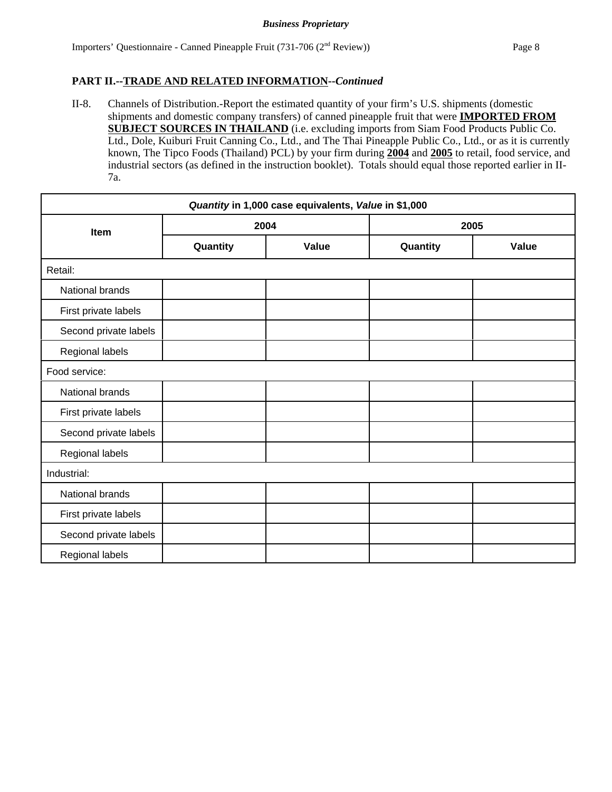II-8. Channels of Distribution.-Report the estimated quantity of your firm's U.S. shipments (domestic shipments and domestic company transfers) of canned pineapple fruit that were **IMPORTED FROM SUBJECT SOURCES IN THAILAND** (i.e. excluding imports from Siam Food Products Public Co. Ltd., Dole, Kuiburi Fruit Canning Co., Ltd., and The Thai Pineapple Public Co., Ltd., or as it is currently known, The Tipco Foods (Thailand) PCL) by your firm during **2004** and **2005** to retail, food service, and industrial sectors (as defined in the instruction booklet). Totals should equal those reported earlier in II-7a.

| Quantity in 1,000 case equivalents, Value in \$1,000 |          |       |          |       |  |
|------------------------------------------------------|----------|-------|----------|-------|--|
| Item                                                 | 2004     |       | 2005     |       |  |
|                                                      | Quantity | Value | Quantity | Value |  |
| Retail:                                              |          |       |          |       |  |
| National brands                                      |          |       |          |       |  |
| First private labels                                 |          |       |          |       |  |
| Second private labels                                |          |       |          |       |  |
| Regional labels                                      |          |       |          |       |  |
| Food service:                                        |          |       |          |       |  |
| National brands                                      |          |       |          |       |  |
| First private labels                                 |          |       |          |       |  |
| Second private labels                                |          |       |          |       |  |
| Regional labels                                      |          |       |          |       |  |
| Industrial:                                          |          |       |          |       |  |
| National brands                                      |          |       |          |       |  |
| First private labels                                 |          |       |          |       |  |
| Second private labels                                |          |       |          |       |  |
| Regional labels                                      |          |       |          |       |  |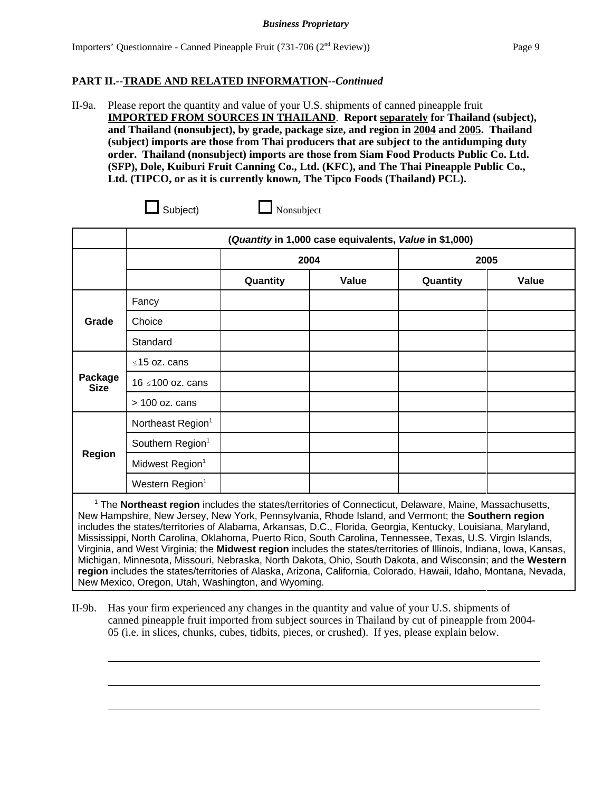II-9a. Please report the quantity and value of your U.S. shipments of canned pineapple fruit **IMPORTED FROM SOURCES IN THAILAND**. **Report separately for Thailand (subject), and Thailand (nonsubject), by grade, package size, and region in 2004 and 2005. Thailand (subject) imports are those from Thai producers that are subject to the antidumping duty order. Thailand (nonsubject) imports are those from Siam Food Products Public Co. Ltd. (SFP), Dole, Kuiburi Fruit Canning Co., Ltd. (KFC), and The Thai Pineapple Public Co., Ltd. (TIPCO, or as it is currently known, The Tipco Foods (Thailand) PCL).** 

| subiec |  |
|--------|--|
|        |  |

 $\Box$  Nonsubject

|                        | (Quantity in 1,000 case equivalents, Value in \$1,000) |          |       |          |       |  |
|------------------------|--------------------------------------------------------|----------|-------|----------|-------|--|
|                        |                                                        | 2004     |       |          | 2005  |  |
|                        |                                                        | Quantity | Value | Quantity | Value |  |
|                        | Fancy                                                  |          |       |          |       |  |
| Grade                  | Choice                                                 |          |       |          |       |  |
|                        | Standard                                               |          |       |          |       |  |
|                        | $\leq$ 15 oz. cans                                     |          |       |          |       |  |
| Package<br><b>Size</b> | 16 ≤100 oz. cans                                       |          |       |          |       |  |
|                        | $> 100$ oz. cans                                       |          |       |          |       |  |
|                        | Northeast Region <sup>1</sup>                          |          |       |          |       |  |
| <b>Region</b>          | Southern Region <sup>1</sup>                           |          |       |          |       |  |
|                        | Midwest Region <sup>1</sup>                            |          |       |          |       |  |
|                        | Western Region <sup>1</sup>                            |          |       |          |       |  |

<sup>1</sup> The **Northeast region** includes the states/territories of Connecticut, Delaware, Maine, Massachusetts, New Hampshire, New Jersey, New York, Pennsylvania, Rhode Island, and Vermont; the **Southern region** includes the states/territories of Alabama, Arkansas, D.C., Florida, Georgia, Kentucky, Louisiana, Maryland, Mississippi, North Carolina, Oklahoma, Puerto Rico, South Carolina, Tennessee, Texas, U.S. Virgin Islands, Virginia, and West Virginia; the **Midwest region** includes the states/territories of Illinois, Indiana, Iowa, Kansas, Michigan, Minnesota, Missouri, Nebraska, North Dakota, Ohio, South Dakota, and Wisconsin; and the **Western region** includes the states/territories of Alaska, Arizona, California, Colorado, Hawaii, Idaho, Montana, Nevada, New Mexico, Oregon, Utah, Washington, and Wyoming.

II-9b. Has your firm experienced any changes in the quantity and value of your U.S. shipments of canned pineapple fruit imported from subject sources in Thailand by cut of pineapple from 2004- 05 (i.e. in slices, chunks, cubes, tidbits, pieces, or crushed). If yes, please explain below.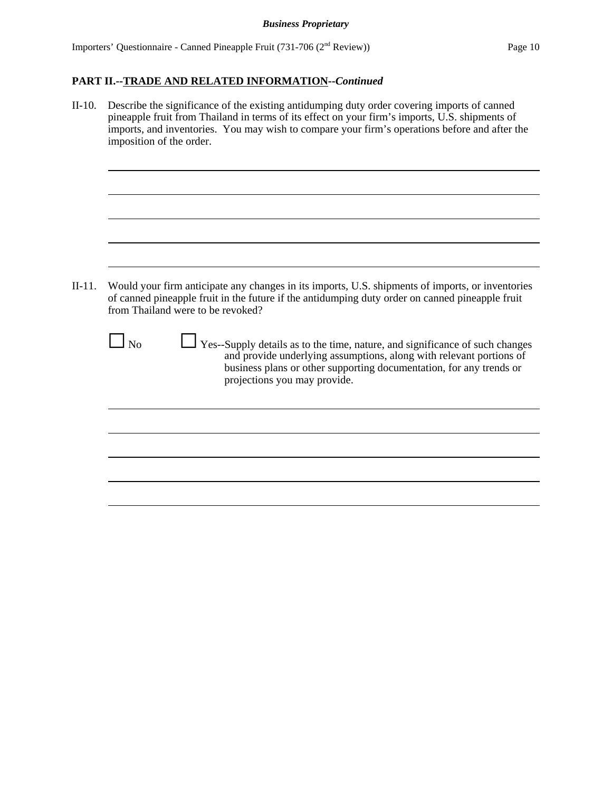| $II-10.$ | Describe the significance of the existing antidumping duty order covering imports of canned<br>pineapple fruit from Thailand in terms of its effect on your firm's imports, U.S. shipments of<br>imports, and inventories. You may wish to compare your firm's operations before and after the<br>imposition of the order.                                                                                                                                                                                          |
|----------|---------------------------------------------------------------------------------------------------------------------------------------------------------------------------------------------------------------------------------------------------------------------------------------------------------------------------------------------------------------------------------------------------------------------------------------------------------------------------------------------------------------------|
| $II-11.$ | Would your firm anticipate any changes in its imports, U.S. shipments of imports, or inventories<br>of canned pineapple fruit in the future if the antidumping duty order on canned pineapple fruit<br>from Thailand were to be revoked?<br>$\Box$ No<br>Yes--Supply details as to the time, nature, and significance of such changes<br>and provide underlying assumptions, along with relevant portions of<br>business plans or other supporting documentation, for any trends or<br>projections you may provide. |
|          |                                                                                                                                                                                                                                                                                                                                                                                                                                                                                                                     |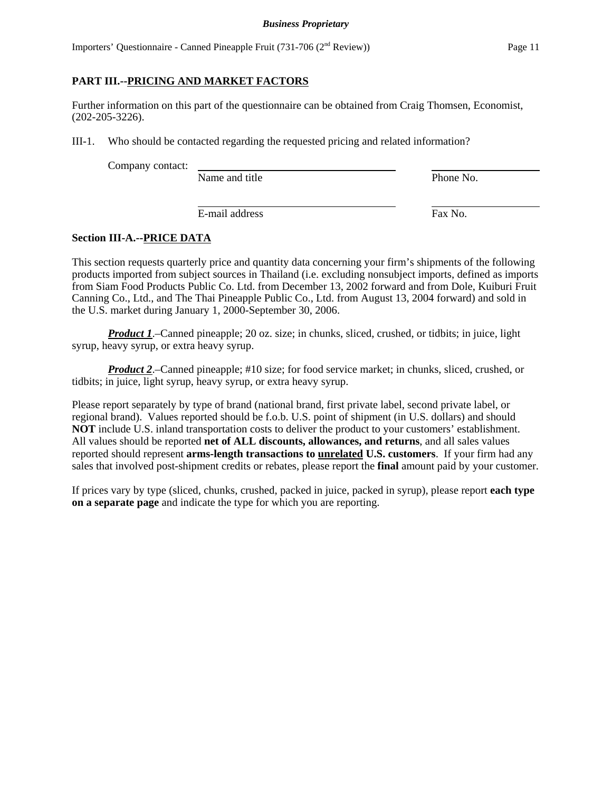#### *Business Proprietary*

Importers' Questionnaire - Canned Pineapple Fruit (731-706 (2nd Review)) Page 11

### **PART III.--PRICING AND MARKET FACTORS**

Further information on this part of the questionnaire can be obtained from Craig Thomsen, Economist, (202-205-3226).

III-1. Who should be contacted regarding the requested pricing and related information?

Company contact:

Name and title Phone No.

E-mail address Fax No.

### **Section III-A.--PRICE DATA**

This section requests quarterly price and quantity data concerning your firm's shipments of the following products imported from subject sources in Thailand (i.e. excluding nonsubject imports, defined as imports from Siam Food Products Public Co. Ltd. from December 13, 2002 forward and from Dole, Kuiburi Fruit Canning Co., Ltd., and The Thai Pineapple Public Co., Ltd. from August 13, 2004 forward) and sold in the U.S. market during January 1, 2000-September 30, 2006.

*Product 1*.–Canned pineapple; 20 oz. size; in chunks, sliced, crushed, or tidbits; in juice, light syrup, heavy syrup, or extra heavy syrup.

*Product 2.*–Canned pineapple; #10 size; for food service market; in chunks, sliced, crushed, or tidbits; in juice, light syrup, heavy syrup, or extra heavy syrup.

Please report separately by type of brand (national brand, first private label, second private label, or regional brand). Values reported should be f.o.b. U.S. point of shipment (in U.S. dollars) and should **NOT** include U.S. inland transportation costs to deliver the product to your customers' establishment. All values should be reported **net of ALL discounts, allowances, and returns**, and all sales values reported should represent **arms-length transactions to unrelated U.S. customers**. If your firm had any sales that involved post-shipment credits or rebates, please report the **final** amount paid by your customer.

If prices vary by type (sliced, chunks, crushed, packed in juice, packed in syrup), please report **each type on a separate page** and indicate the type for which you are reporting.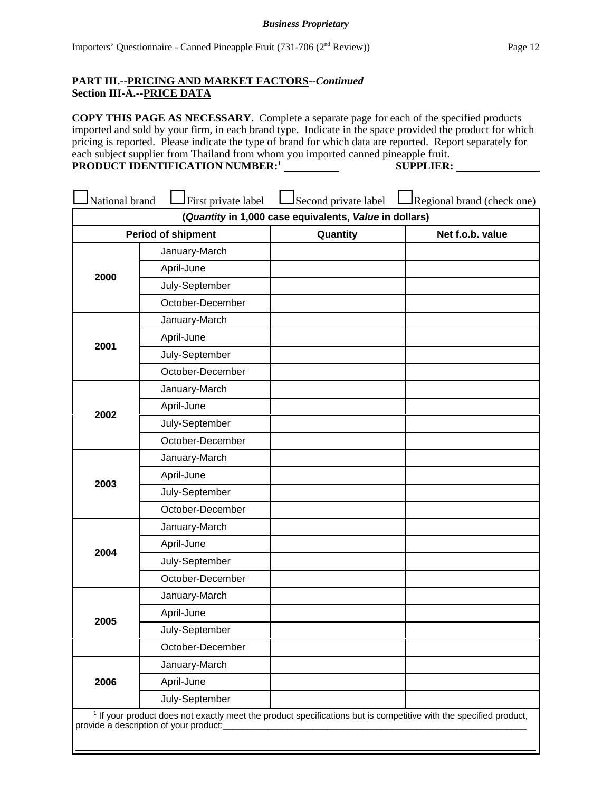### **PART III.--PRICING AND MARKET FACTORS--***Continued* **Section III-A.--PRICE DATA**

**COPY THIS PAGE AS NECESSARY.** Complete a separate page for each of the specified products imported and sold by your firm, in each brand type. Indicate in the space provided the product for which pricing is reported. Please indicate the type of brand for which data are reported. Report separately for each subject supplier from Thailand from whom you imported canned pineapple fruit. **PRODUCT IDENTIFICATION NUMBER:1 SUPPLIER:**

| National brand                                         | First private label                                                                                                                                                    | Second private label | Regional brand (check one) |  |
|--------------------------------------------------------|------------------------------------------------------------------------------------------------------------------------------------------------------------------------|----------------------|----------------------------|--|
| (Quantity in 1,000 case equivalents, Value in dollars) |                                                                                                                                                                        |                      |                            |  |
|                                                        | <b>Period of shipment</b>                                                                                                                                              | Quantity             | Net f.o.b. value           |  |
|                                                        | January-March                                                                                                                                                          |                      |                            |  |
|                                                        | April-June                                                                                                                                                             |                      |                            |  |
| 2000                                                   | July-September                                                                                                                                                         |                      |                            |  |
|                                                        | October-December                                                                                                                                                       |                      |                            |  |
|                                                        | January-March                                                                                                                                                          |                      |                            |  |
| 2001                                                   | April-June                                                                                                                                                             |                      |                            |  |
|                                                        | July-September                                                                                                                                                         |                      |                            |  |
|                                                        | October-December                                                                                                                                                       |                      |                            |  |
|                                                        | January-March                                                                                                                                                          |                      |                            |  |
|                                                        | April-June                                                                                                                                                             |                      |                            |  |
| 2002                                                   | July-September                                                                                                                                                         |                      |                            |  |
|                                                        | October-December                                                                                                                                                       |                      |                            |  |
|                                                        | January-March                                                                                                                                                          |                      |                            |  |
| 2003                                                   | April-June                                                                                                                                                             |                      |                            |  |
|                                                        | July-September                                                                                                                                                         |                      |                            |  |
|                                                        | October-December                                                                                                                                                       |                      |                            |  |
|                                                        | January-March                                                                                                                                                          |                      |                            |  |
| 2004                                                   | April-June                                                                                                                                                             |                      |                            |  |
|                                                        | July-September                                                                                                                                                         |                      |                            |  |
|                                                        | October-December                                                                                                                                                       |                      |                            |  |
|                                                        | January-March                                                                                                                                                          |                      |                            |  |
| 2005                                                   | April-June                                                                                                                                                             |                      |                            |  |
|                                                        | July-September                                                                                                                                                         |                      |                            |  |
|                                                        | October-December                                                                                                                                                       |                      |                            |  |
|                                                        | January-March                                                                                                                                                          |                      |                            |  |
| 2006                                                   | April-June                                                                                                                                                             |                      |                            |  |
|                                                        | July-September                                                                                                                                                         |                      |                            |  |
|                                                        | <sup>1</sup> If your product does not exactly meet the product specifications but is competitive with the specified product,<br>provide a description of your product: |                      |                            |  |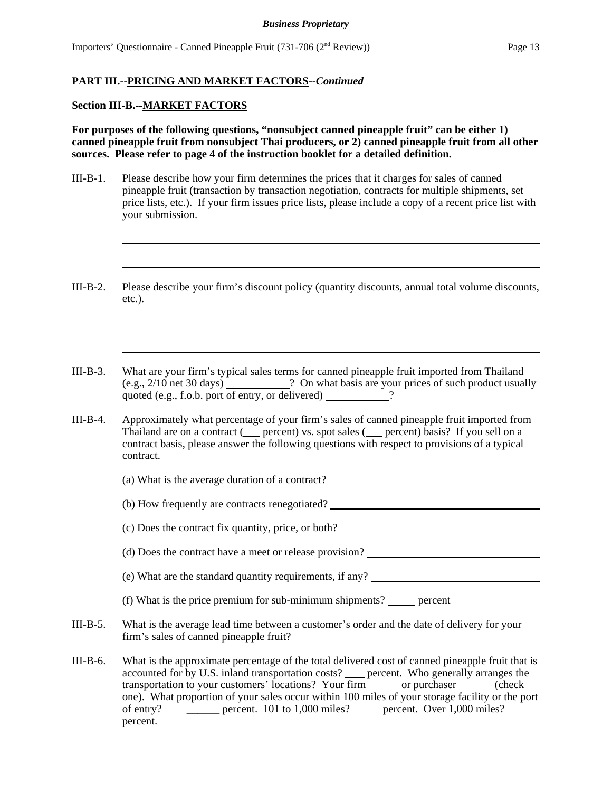#### **Section III-B.--MARKET FACTORS**

**For purposes of the following questions, "nonsubject canned pineapple fruit" can be either 1) canned pineapple fruit from nonsubject Thai producers, or 2) canned pineapple fruit from all other sources. Please refer to page 4 of the instruction booklet for a detailed definition.** 

- III-B-1. Please describe how your firm determines the prices that it charges for sales of canned pineapple fruit (transaction by transaction negotiation, contracts for multiple shipments, set price lists, etc.). If your firm issues price lists, please include a copy of a recent price list with your submission.
- III-B-2. Please describe your firm's discount policy (quantity discounts, annual total volume discounts, etc.).
- III-B-3. What are your firm's typical sales terms for canned pineapple fruit imported from Thailand (e.g., 2/10 net 30 days) ? On what basis are your prices of such product usually quoted (e.g., f.o.b. port of entry, or delivered) 2.
- III-B-4. Approximately what percentage of your firm's sales of canned pineapple fruit imported from Thailand are on a contract  $($  percent) vs. spot sales  $($  percent) basis? If you sell on a contract basis, please answer the following questions with respect to provisions of a typical contract.
	- (a) What is the average duration of a contract?
	- (b) How frequently are contracts renegotiated?

(c) Does the contract fix quantity, price, or both?

- (d) Does the contract have a meet or release provision?
- (e) What are the standard quantity requirements, if any?
- (f) What is the price premium for sub-minimum shipments? percent
- III-B-5. What is the average lead time between a customer's order and the date of delivery for your firm's sales of canned pineapple fruit?
- III-B-6. What is the approximate percentage of the total delivered cost of canned pineapple fruit that is accounted for by U.S. inland transportation costs? \_\_\_\_ percent. Who generally arranges the transportation to your customers' locations? Your firm \_\_\_\_\_\_ or purchaser \_\_\_\_\_\_ (check one). What proportion of your sales occur within 100 miles of your storage facility or the port of entry?  $\qquad \qquad$  percent. 101 to 1,000 miles? percent. Over 1,000 miles? percent.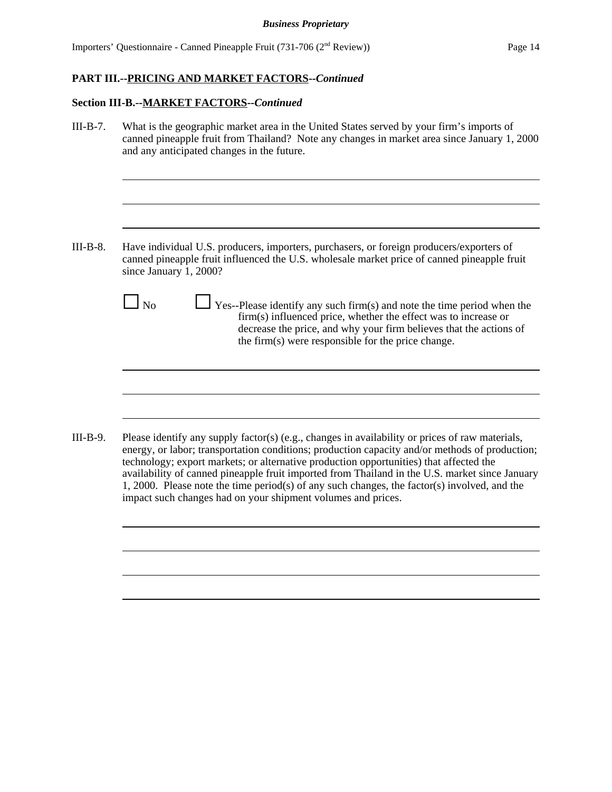| $III-B-7.$ | What is the geographic market area in the United States served by your firm's imports of<br>canned pineapple fruit from Thailand? Note any changes in market area since January 1, 2000<br>and any anticipated changes in the future.                                                                                                                                                                                                                                                                                                                         |  |  |
|------------|---------------------------------------------------------------------------------------------------------------------------------------------------------------------------------------------------------------------------------------------------------------------------------------------------------------------------------------------------------------------------------------------------------------------------------------------------------------------------------------------------------------------------------------------------------------|--|--|
|            |                                                                                                                                                                                                                                                                                                                                                                                                                                                                                                                                                               |  |  |
| $III-B-8.$ | Have individual U.S. producers, importers, purchasers, or foreign producers/exporters of<br>canned pineapple fruit influenced the U.S. wholesale market price of canned pineapple fruit<br>since January 1, 2000?                                                                                                                                                                                                                                                                                                                                             |  |  |
|            | l No<br>Yes--Please identify any such firm(s) and note the time period when the<br>firm(s) influenced price, whether the effect was to increase or<br>decrease the price, and why your firm believes that the actions of<br>the firm(s) were responsible for the price change.                                                                                                                                                                                                                                                                                |  |  |
| $III-B-9.$ | Please identify any supply factor(s) (e.g., changes in availability or prices of raw materials,<br>energy, or labor; transportation conditions; production capacity and/or methods of production;<br>technology; export markets; or alternative production opportunities) that affected the<br>availability of canned pineapple fruit imported from Thailand in the U.S. market since January<br>1, 2000. Please note the time period(s) of any such changes, the factor(s) involved, and the<br>impact such changes had on your shipment volumes and prices. |  |  |
|            |                                                                                                                                                                                                                                                                                                                                                                                                                                                                                                                                                               |  |  |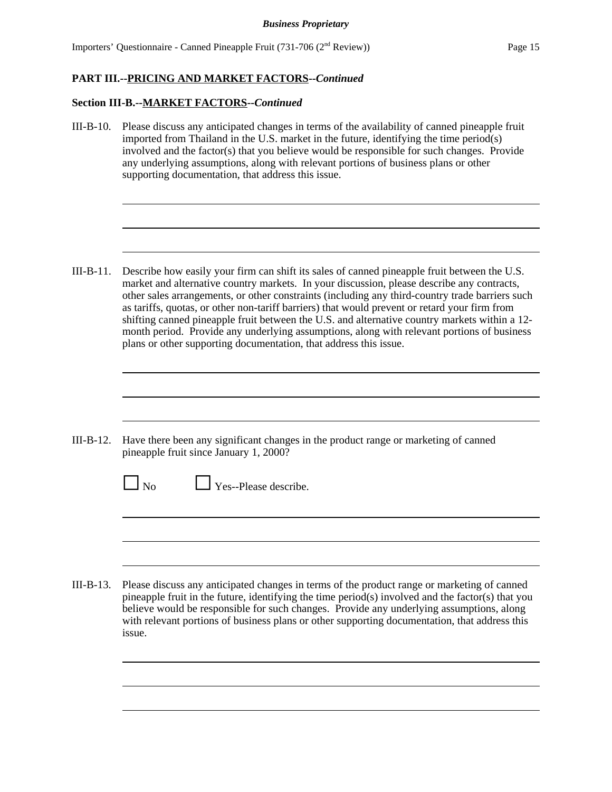Importers' Questionnaire - Canned Pineapple Fruit (731-706 (2nd Review)) Page 15

### **PART III.--PRICING AND MARKET FACTORS--***Continued*

### **Section III-B.--MARKET FACTORS--***Continued*

III-B-10. Please discuss any anticipated changes in terms of the availability of canned pineapple fruit imported from Thailand in the U.S. market in the future, identifying the time period(s) involved and the factor(s) that you believe would be responsible for such changes. Provide any underlying assumptions, along with relevant portions of business plans or other supporting documentation, that address this issue.

III-B-11. Describe how easily your firm can shift its sales of canned pineapple fruit between the U.S. market and alternative country markets. In your discussion, please describe any contracts, other sales arrangements, or other constraints (including any third-country trade barriers such as tariffs, quotas, or other non-tariff barriers) that would prevent or retard your firm from shifting canned pineapple fruit between the U.S. and alternative country markets within a 12 month period. Provide any underlying assumptions, along with relevant portions of business plans or other supporting documentation, that address this issue.

- III-B-12. Have there been any significant changes in the product range or marketing of canned pineapple fruit since January 1, 2000?
	- $\Box$  No  $\Box$  Yes--Please describe.

III-B-13. Please discuss any anticipated changes in terms of the product range or marketing of canned pineapple fruit in the future, identifying the time period(s) involved and the factor(s) that you believe would be responsible for such changes. Provide any underlying assumptions, along with relevant portions of business plans or other supporting documentation, that address this issue.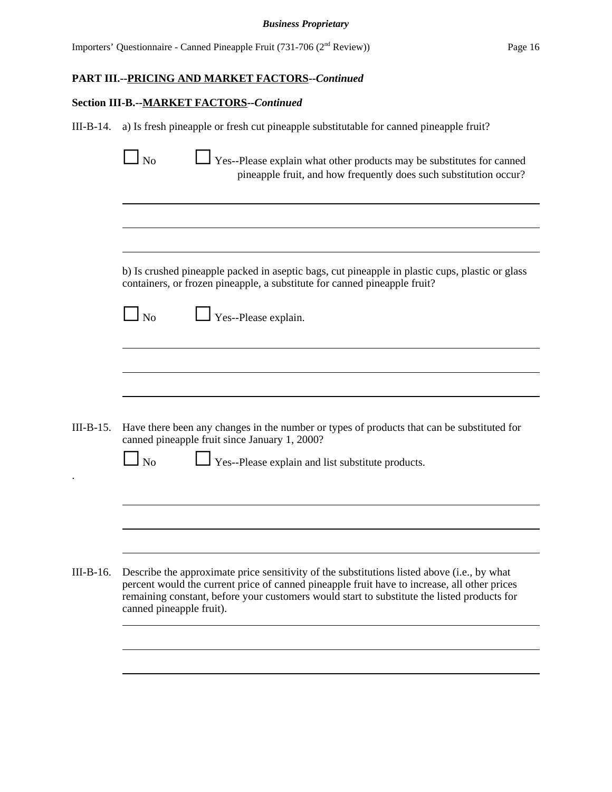# **Section III-B.--MARKET FACTORS--***Continued*

.

III-B-14. a) Is fresh pineapple or fresh cut pineapple substitutable for canned pineapple fruit?

|             | N <sub>o</sub><br>Yes--Please explain what other products may be substitutes for canned<br>pineapple fruit, and how frequently does such substitution occur?                                                                                                                                                           |
|-------------|------------------------------------------------------------------------------------------------------------------------------------------------------------------------------------------------------------------------------------------------------------------------------------------------------------------------|
|             |                                                                                                                                                                                                                                                                                                                        |
|             | b) Is crushed pineapple packed in aseptic bags, cut pineapple in plastic cups, plastic or glass<br>containers, or frozen pineapple, a substitute for canned pineapple fruit?                                                                                                                                           |
|             | $\Box$ No<br>Yes--Please explain.                                                                                                                                                                                                                                                                                      |
|             |                                                                                                                                                                                                                                                                                                                        |
|             |                                                                                                                                                                                                                                                                                                                        |
| $III-B-15.$ | Have there been any changes in the number or types of products that can be substituted for<br>canned pineapple fruit since January 1, 2000?<br>$\Box$ No<br>Yes--Please explain and list substitute products.                                                                                                          |
|             |                                                                                                                                                                                                                                                                                                                        |
|             |                                                                                                                                                                                                                                                                                                                        |
| III-B-16.   | Describe the approximate price sensitivity of the substitutions listed above (i.e., by what<br>percent would the current price of canned pineapple fruit have to increase, all other prices<br>remaining constant, before your customers would start to substitute the listed products for<br>canned pineapple fruit). |
|             |                                                                                                                                                                                                                                                                                                                        |
|             |                                                                                                                                                                                                                                                                                                                        |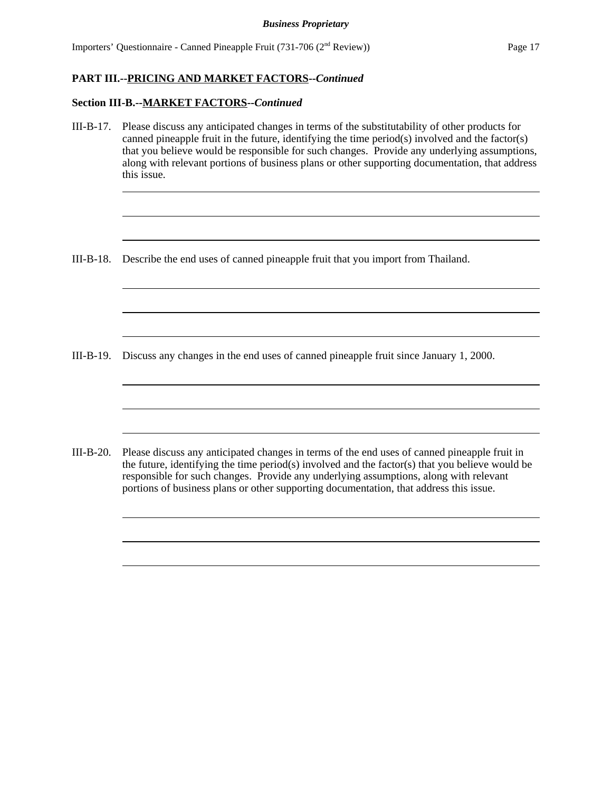#### **Section III-B.--MARKET FACTORS--***Continued*

III-B-17. Please discuss any anticipated changes in terms of the substitutability of other products for canned pineapple fruit in the future, identifying the time period $(s)$  involved and the factor $(s)$ that you believe would be responsible for such changes. Provide any underlying assumptions, along with relevant portions of business plans or other supporting documentation, that address this issue.

<u> 1989 - Johann Stoff, deutscher Stoff, der Stoff, der Stoff, der Stoff, der Stoff, der Stoff, der Stoff, der S</u>

<u> 1989 - Johann Barn, mars ann an t-Amhain ann an t-Amhain an t-Amhain an t-Amhain an t-Amhain an t-Amhain an t-</u>

III-B-18. Describe the end uses of canned pineapple fruit that you import from Thailand.

III-B-19. Discuss any changes in the end uses of canned pineapple fruit since January 1, 2000.

III-B-20. Please discuss any anticipated changes in terms of the end uses of canned pineapple fruit in the future, identifying the time period(s) involved and the factor(s) that you believe would be responsible for such changes. Provide any underlying assumptions, along with relevant portions of business plans or other supporting documentation, that address this issue.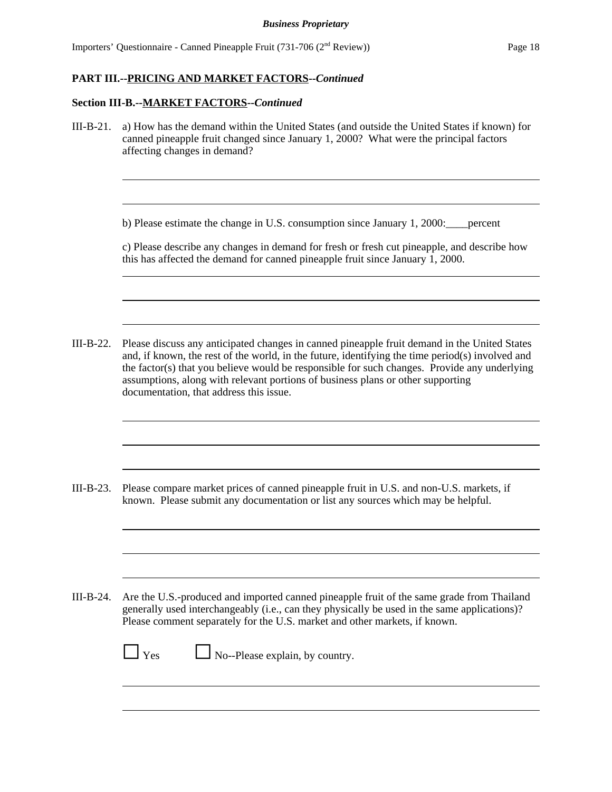#### **Section III-B.--MARKET FACTORS--***Continued*

III-B-21. a) How has the demand within the United States (and outside the United States if known) for canned pineapple fruit changed since January 1, 2000? What were the principal factors affecting changes in demand?

b) Please estimate the change in U.S. consumption since January 1, 2000:\_\_\_\_percent

c) Please describe any changes in demand for fresh or fresh cut pineapple, and describe how this has affected the demand for canned pineapple fruit since January  $\hat{1}$ , 2000.

III-B-22. Please discuss any anticipated changes in canned pineapple fruit demand in the United States and, if known, the rest of the world, in the future, identifying the time period(s) involved and the factor(s) that you believe would be responsible for such changes. Provide any underlying assumptions, along with relevant portions of business plans or other supporting documentation, that address this issue.

III-B-23. Please compare market prices of canned pineapple fruit in U.S. and non-U.S. markets, if known. Please submit any documentation or list any sources which may be helpful.

III-B-24. Are the U.S.-produced and imported canned pineapple fruit of the same grade from Thailand generally used interchangeably (i.e., can they physically be used in the same applications)? Please comment separately for the U.S. market and other markets, if known.

| $\Box$ Yes | No--Please explain, by country. |
|------------|---------------------------------|
|            |                                 |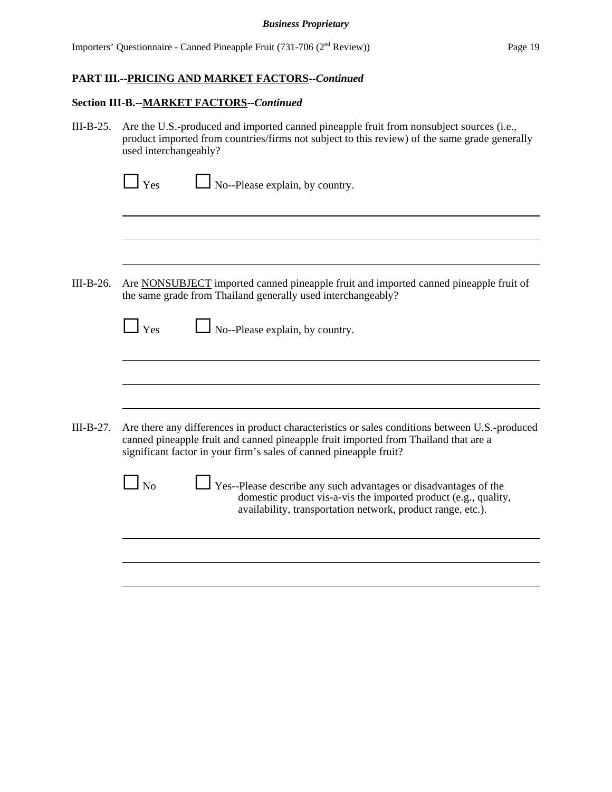#### **Section III-B.--MARKET FACTORS--***Continued*

III-B-25. Are the U.S.-produced and imported canned pineapple fruit from nonsubject sources (i.e., product imported from countries/firms not subject to this review) of the same grade generally used interchangeably?

| $\Box$ Yes<br>$\Box$ No--Please explain, by country. |  |
|------------------------------------------------------|--|
|------------------------------------------------------|--|

III-B-26. Are NONSUBJECT imported canned pineapple fruit and imported canned pineapple fruit of the same grade from Thailand generally used interchangeably?

| No--Please explain, by country. |
|---------------------------------|
|                                 |

III-B-27. Are there any differences in product characteristics or sales conditions between U.S.-produced canned pineapple fruit and canned pineapple fruit imported from Thailand that are a significant factor in your firm's sales of canned pineapple fruit?

> $\Box$  No  $\Box$  Yes--Please describe any such advantages or disadvantages of the domestic product vis-a-vis the imported product (e.g., quality, availability, transportation network, product range, etc.).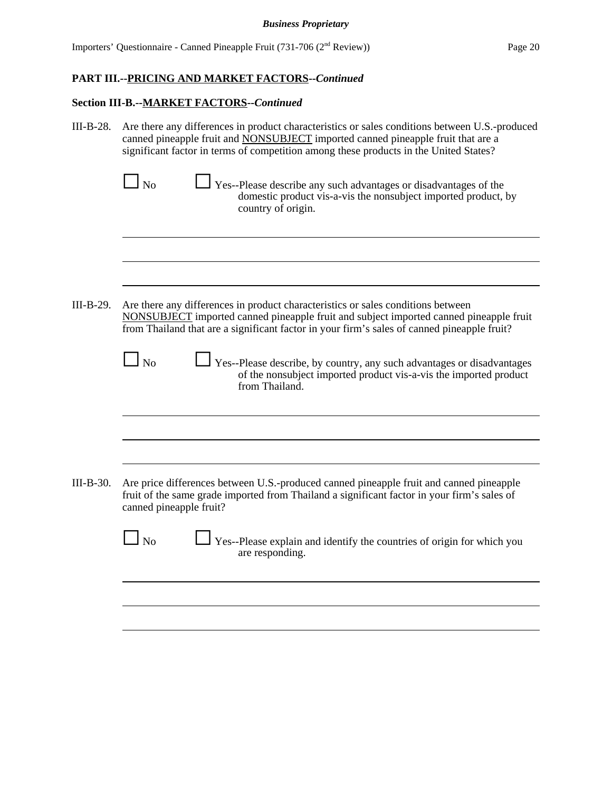| III-B-28.   | Are there any differences in product characteristics or sales conditions between U.S.-produced<br>canned pineapple fruit and NONSUBJECT imported canned pineapple fruit that are a<br>significant factor in terms of competition among these products in the United States? |  |  |  |
|-------------|-----------------------------------------------------------------------------------------------------------------------------------------------------------------------------------------------------------------------------------------------------------------------------|--|--|--|
|             | l No<br>Yes--Please describe any such advantages or disadvantages of the<br>domestic product vis-a-vis the nonsubject imported product, by<br>country of origin.                                                                                                            |  |  |  |
|             |                                                                                                                                                                                                                                                                             |  |  |  |
| $III-B-29.$ | Are there any differences in product characteristics or sales conditions between<br>NONSUBJECT imported canned pineapple fruit and subject imported canned pineapple fruit<br>from Thailand that are a significant factor in your firm's sales of canned pineapple fruit?   |  |  |  |
|             | N <sub>o</sub><br>Yes--Please describe, by country, any such advantages or disadvantages<br>of the nonsubject imported product vis-a-vis the imported product<br>from Thailand.                                                                                             |  |  |  |
|             |                                                                                                                                                                                                                                                                             |  |  |  |
| $III-B-30.$ | Are price differences between U.S.-produced canned pineapple fruit and canned pineapple<br>fruit of the same grade imported from Thailand a significant factor in your firm's sales of<br>canned pineapple fruit?                                                           |  |  |  |
|             | $\rm l$ No<br>Yes--Please explain and identify the countries of origin for which you<br>are responding.                                                                                                                                                                     |  |  |  |
|             |                                                                                                                                                                                                                                                                             |  |  |  |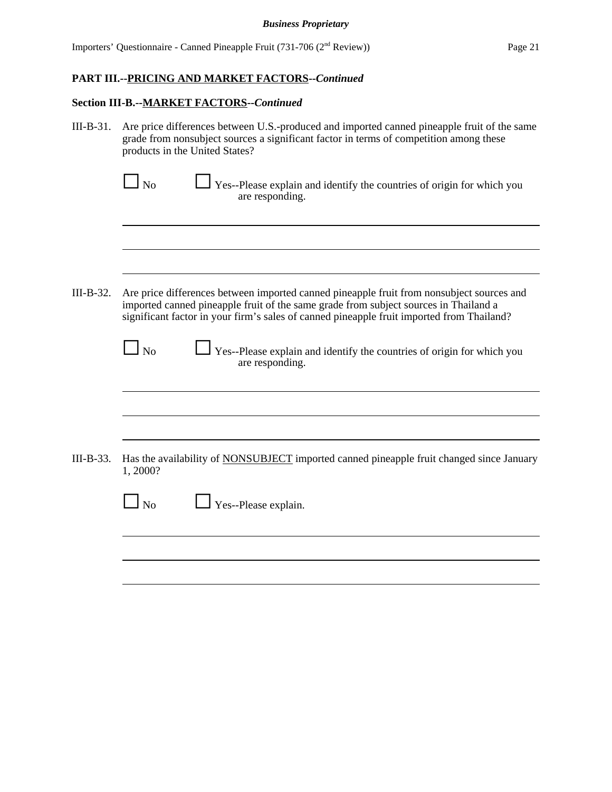| III-B-31.   | Are price differences between U.S.-produced and imported canned pineapple fruit of the same<br>grade from nonsubject sources a significant factor in terms of competition among these<br>products in the United States?                                                        |
|-------------|--------------------------------------------------------------------------------------------------------------------------------------------------------------------------------------------------------------------------------------------------------------------------------|
|             | $\Box$ No<br>Yes--Please explain and identify the countries of origin for which you<br>are responding.                                                                                                                                                                         |
|             |                                                                                                                                                                                                                                                                                |
| III-B-32.   | Are price differences between imported canned pineapple fruit from nonsubject sources and<br>imported canned pineapple fruit of the same grade from subject sources in Thailand a<br>significant factor in your firm's sales of canned pineapple fruit imported from Thailand? |
|             | $\Box$ No<br>Yes--Please explain and identify the countries of origin for which you<br>are responding.                                                                                                                                                                         |
|             |                                                                                                                                                                                                                                                                                |
| $III-B-33.$ | Has the availability of NONSUBJECT imported canned pineapple fruit changed since January<br>1,2000?                                                                                                                                                                            |
|             | $\ln$<br>Yes--Please explain.                                                                                                                                                                                                                                                  |
|             |                                                                                                                                                                                                                                                                                |
|             |                                                                                                                                                                                                                                                                                |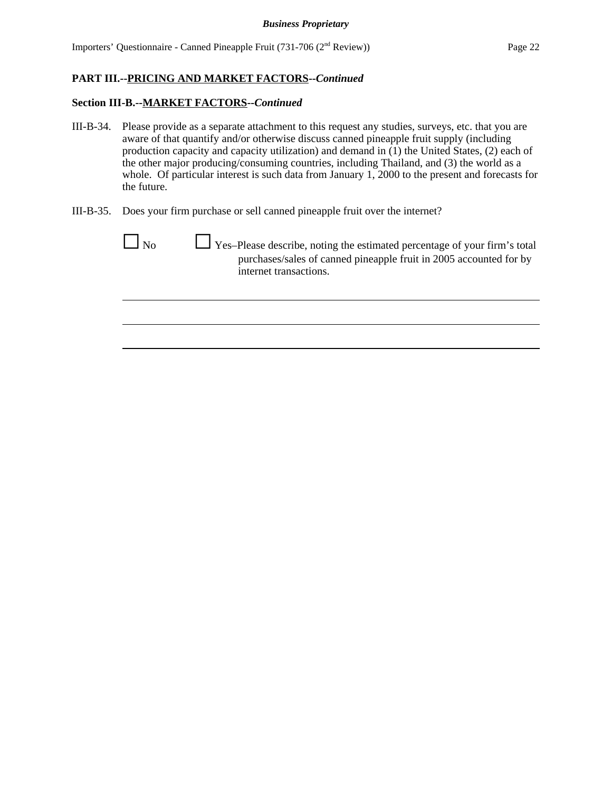- III-B-34. Please provide as a separate attachment to this request any studies, surveys, etc. that you are aware of that quantify and/or otherwise discuss canned pineapple fruit supply (including production capacity and capacity utilization) and demand in (1) the United States, (2) each of the other major producing/consuming countries, including Thailand, and (3) the world as a whole. Of particular interest is such data from January 1, 2000 to the present and forecasts for the future.
- III-B-35. Does your firm purchase or sell canned pineapple fruit over the internet?

| l No | $\Box$ Yes-Please describe, noting the estimated percentage of your firm's total<br>purchases/sales of canned pineapple fruit in 2005 accounted for by<br>internet transactions. |
|------|----------------------------------------------------------------------------------------------------------------------------------------------------------------------------------|
|      |                                                                                                                                                                                  |
|      |                                                                                                                                                                                  |